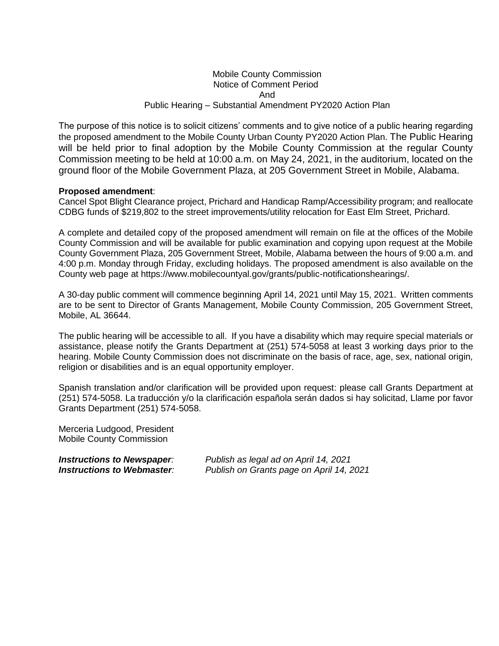### Mobile County Commission Notice of Comment Period And Public Hearing – Substantial Amendment PY2020 Action Plan

The purpose of this notice is to solicit citizens' comments and to give notice of a public hearing regarding the proposed amendment to the Mobile County Urban County PY2020 Action Plan. The Public Hearing will be held prior to final adoption by the Mobile County Commission at the regular County Commission meeting to be held at 10:00 a.m. on May 24, 2021, in the auditorium, located on the ground floor of the Mobile Government Plaza, at 205 Government Street in Mobile, Alabama.

### **Proposed amendment**:

Cancel Spot Blight Clearance project, Prichard and Handicap Ramp/Accessibility program; and reallocate CDBG funds of \$219,802 to the street improvements/utility relocation for East Elm Street, Prichard.

A complete and detailed copy of the proposed amendment will remain on file at the offices of the Mobile County Commission and will be available for public examination and copying upon request at the Mobile County Government Plaza, 205 Government Street, Mobile, Alabama between the hours of 9:00 a.m. and 4:00 p.m. Monday through Friday, excluding holidays. The proposed amendment is also available on the County web page at https://www.mobilecountyal.gov/grants/public-notificationshearings/.

A 30-day public comment will commence beginning April 14, 2021 until May 15, 2021. Written comments are to be sent to Director of Grants Management, Mobile County Commission, 205 Government Street, Mobile, AL 36644.

The public hearing will be accessible to all. If you have a disability which may require special materials or assistance, please notify the Grants Department at (251) 574-5058 at least 3 working days prior to the hearing. Mobile County Commission does not discriminate on the basis of race, age, sex, national origin, religion or disabilities and is an equal opportunity employer.

Spanish translation and/or clarification will be provided upon request: please call Grants Department at (251) 574-5058. La traducción y/o la clarificación española serán dados si hay solicitad, Llame por favor Grants Department (251) 574-5058.

Merceria Ludgood, President Mobile County Commission

*Instructions to Newspaper: Publish as legal ad on April 14, 2021 Instructions to Webmaster: Publish on Grants page on April 14, 2021*